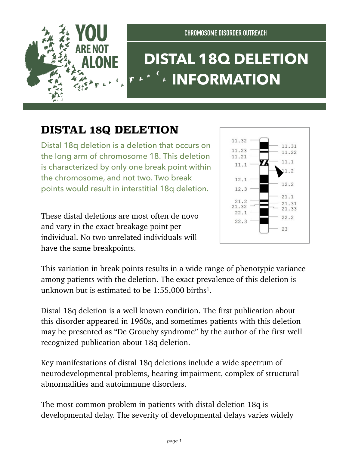

## **DISTAL 18Q DELETION INFORMATION**

## **DISTAL 18Q DELETION**

Distal 18q deletion is a deletion that occurs on the long arm of chromosome 18. This deletion is characterized by only one break point within the chromosome, and not two. Two break points would result in interstitial 18q deletion.

These distal deletions are most often de novo and vary in the exact breakage point per individual. No two unrelated individuals will have the same breakpoints.



This variation in break points results in a wide range of phenotypic variance among patients with the deletion. The exact prevalence of this deletion is unknown but is estimated to be 1:55,000 births1.

Distal 18q deletion is a well known condition. The first publication about this disorder appeared in 1960s, and sometimes patients with this deletion may be presented as "De Grouchy syndrome" by the author of the first well recognized publication about 18q deletion.

Key manifestations of distal 18q deletions include a wide spectrum of neurodevelopmental problems, hearing impairment, complex of structural abnormalities and autoimmune disorders.

The most common problem in patients with distal deletion 18q is developmental delay. The severity of developmental delays varies widely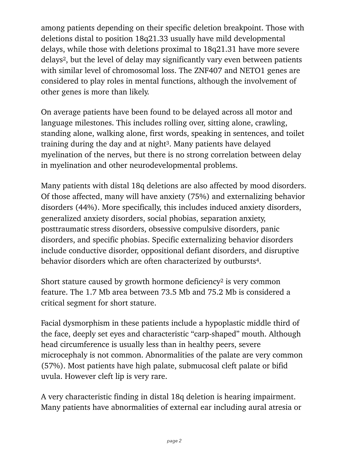among patients depending on their specific deletion breakpoint. Those with deletions distal to position 18q21.33 usually have mild developmental delays, while those with deletions proximal to 18q21.31 have more severe delays2, but the level of delay may significantly vary even between patients with similar level of chromosomal loss. The ZNF407 and NETO1 genes are considered to play roles in mental functions, although the involvement of other genes is more than likely.

On average patients have been found to be delayed across all motor and language milestones. This includes rolling over, sitting alone, crawling, standing alone, walking alone, first words, speaking in sentences, and toilet training during the day and at night3. Many patients have delayed myelination of the nerves, but there is no strong correlation between delay in myelination and other neurodevelopmental problems.

Many patients with distal 18q deletions are also affected by mood disorders. Of those affected, many will have anxiety (75%) and externalizing behavior disorders (44%). More specifically, this includes induced anxiety disorders, generalized anxiety disorders, social phobias, separation anxiety, posttraumatic stress disorders, obsessive compulsive disorders, panic disorders, and specific phobias. Specific externalizing behavior disorders include conductive disorder, oppositional defiant disorders, and disruptive behavior disorders which are often characterized by outbursts4.

Short stature caused by growth hormone deficiency<sup>2</sup> is very common feature. The 1.7 Mb area between 73.5 Mb and 75.2 Mb is considered a critical segment for short stature.

Facial dysmorphism in these patients include a hypoplastic middle third of the face, deeply set eyes and characteristic "carp-shaped" mouth. Although head circumference is usually less than in healthy peers, severe microcephaly is not common. Abnormalities of the palate are very common (57%). Most patients have high palate, submucosal cleft palate or bifid uvula. However cleft lip is very rare.

A very characteristic finding in distal 18q deletion is hearing impairment. Many patients have abnormalities of external ear including aural atresia or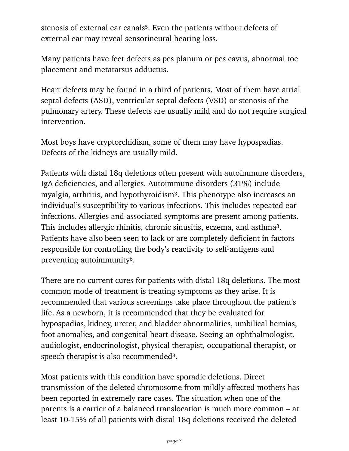stenosis of external ear canals5. Even the patients without defects of external ear may reveal sensorineural hearing loss.

Many patients have feet defects as pes planum or pes cavus, abnormal toe placement and metatarsus adductus.

Heart defects may be found in a third of patients. Most of them have atrial septal defects (ASD), ventricular septal defects (VSD) or stenosis of the pulmonary artery. These defects are usually mild and do not require surgical intervention.

Most boys have cryptorchidism, some of them may have hypospadias. Defects of the kidneys are usually mild.

Patients with distal 18q deletions often present with autoimmune disorders, IgA deficiencies, and allergies. Autoimmune disorders (31%) include myalgia, arthritis, and hypothyroidism3. This phenotype also increases an individual's susceptibility to various infections. This includes repeated ear infections. Allergies and associated symptoms are present among patients. This includes allergic rhinitis, chronic sinusitis, eczema, and asthma3. Patients have also been seen to lack or are completely deficient in factors responsible for controlling the body's reactivity to self-antigens and preventing autoimmunity6.

There are no current cures for patients with distal 18q deletions. The most common mode of treatment is treating symptoms as they arise. It is recommended that various screenings take place throughout the patient's life. As a newborn, it is recommended that they be evaluated for hypospadias, kidney, ureter, and bladder abnormalities, umbilical hernias, foot anomalies, and congenital heart disease. Seeing an ophthalmologist, audiologist, endocrinologist, physical therapist, occupational therapist, or speech therapist is also recommended3.

Most patients with this condition have sporadic deletions. Direct transmission of the deleted chromosome from mildly affected mothers has been reported in extremely rare cases. The situation when one of the parents is a carrier of a balanced translocation is much more common – at least 10-15% of all patients with distal 18q deletions received the deleted